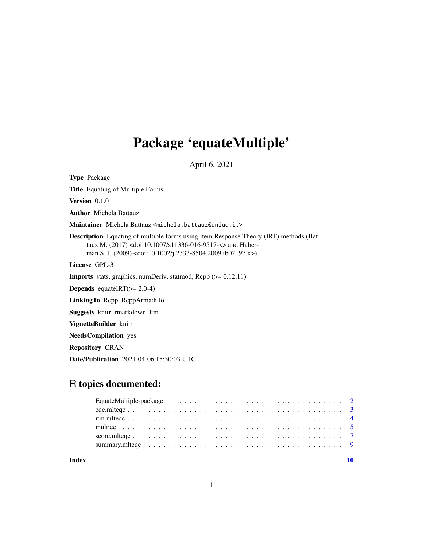## Package 'equateMultiple'

April 6, 2021

<span id="page-0-0"></span>Type Package

Title Equating of Multiple Forms

Version 0.1.0

Author Michela Battauz

Maintainer Michela Battauz <michela.battauz@uniud.it>

Description Equating of multiple forms using Item Response Theory (IRT) methods (Battauz M. (2017) <doi:10.1007/s11336-016-9517-x> and Haberman S. J. (2009) <doi:10.1002/j.2333-8504.2009.tb02197.x>).

License GPL-3

Imports stats, graphics, numDeriv, statmod, Rcpp (>= 0.12.11)

**Depends** equateIRT $(>= 2.0-4)$ 

LinkingTo Rcpp, RcppArmadillo

Suggests knitr, rmarkdown, ltm

VignetteBuilder knitr

NeedsCompilation yes

Repository CRAN

Date/Publication 2021-04-06 15:30:03 UTC

## R topics documented:

| Index |  |  |  |  |  |  |  |  |  |  |  |  |  |  |  |  |
|-------|--|--|--|--|--|--|--|--|--|--|--|--|--|--|--|--|
|       |  |  |  |  |  |  |  |  |  |  |  |  |  |  |  |  |
|       |  |  |  |  |  |  |  |  |  |  |  |  |  |  |  |  |
|       |  |  |  |  |  |  |  |  |  |  |  |  |  |  |  |  |
|       |  |  |  |  |  |  |  |  |  |  |  |  |  |  |  |  |
|       |  |  |  |  |  |  |  |  |  |  |  |  |  |  |  |  |
|       |  |  |  |  |  |  |  |  |  |  |  |  |  |  |  |  |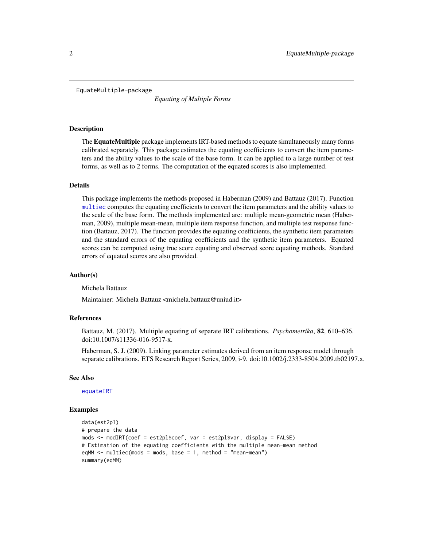<span id="page-1-0"></span>EquateMultiple-package

*Equating of Multiple Forms*

#### Description

The EquateMultiple package implements IRT-based methods to equate simultaneously many forms calibrated separately. This package estimates the equating coefficients to convert the item parameters and the ability values to the scale of the base form. It can be applied to a large number of test forms, as well as to 2 forms. The computation of the equated scores is also implemented.

### Details

This package implements the methods proposed in Haberman (2009) and Battauz (2017). Function [multiec](#page-4-1) computes the equating coefficients to convert the item parameters and the ability values to the scale of the base form. The methods implemented are: multiple mean-geometric mean (Haberman, 2009), multiple mean-mean, multiple item response function, and multiple test response function (Battauz, 2017). The function provides the equating coefficients, the synthetic item parameters and the standard errors of the equating coefficients and the synthetic item parameters. Equated scores can be computed using true score equating and observed score equating methods. Standard errors of equated scores are also provided.

#### Author(s)

Michela Battauz

Maintainer: Michela Battauz <michela.battauz@uniud.it>

### References

Battauz, M. (2017). Multiple equating of separate IRT calibrations. *Psychometrika*, 82, 610–636. doi:10.1007/s11336-016-9517-x.

Haberman, S. J. (2009). Linking parameter estimates derived from an item response model through separate calibrations. ETS Research Report Series, 2009, i-9. doi:10.1002/j.2333-8504.2009.tb02197.x.

#### See Also

[equateIRT](#page-0-0)

```
data(est2pl)
# prepare the data
mods <- modIRT(coef = est2pl$coef, var = est2pl$var, display = FALSE)
# Estimation of the equating coefficients with the multiple mean-mean method
eqMM <- multiec(mods = mods, base = 1, method = "mean-mean")
summary(eqMM)
```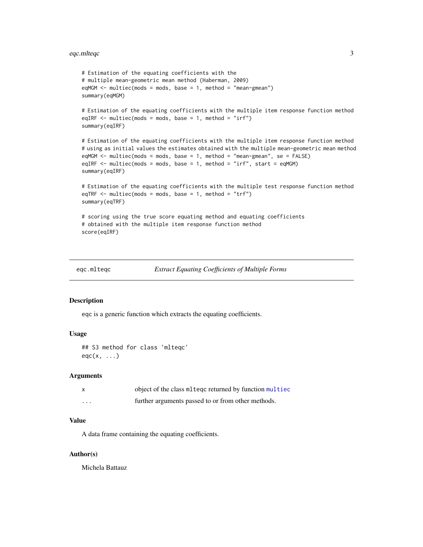## <span id="page-2-0"></span>eqc.mlteqc 3

```
# Estimation of the equating coefficients with the
# multiple mean-geometric mean method (Haberman, 2009)
eqMGM <- multiec(mods = mods, base = 1, method = "mean-gmean")
summary(eqMGM)
# Estimation of the equating coefficients with the multiple item response function method
eqIRF \le multiec(mods = mods, base = 1, method = "irf")
summary(eqIRF)
# Estimation of the equating coefficients with the multiple item response function method
# using as initial values the estimates obtained with the multiple mean-geometric mean method
eqMGM <- multiec(mods = mods, base = 1, method = "mean-gmean", se = FALSE)
eqIRF \leq multiec(mods = mods, base = 1, method = "irf", start = eqMGM)
summary(eqIRF)
# Estimation of the equating coefficients with the multiple test response function method
eqTRF \le multiec(mods = mods, base = 1, method = "trf")
summary(eqTRF)
# scoring using the true score equating method and equating coefficients
# obtained with the multiple item response function method
score(eqIRF)
```

```
eqc.mlteqc Extract Equating Coefficients of Multiple Forms
```
#### Description

eqc is a generic function which extracts the equating coefficients.

## Usage

```
## S3 method for class 'mlteqc'
eqc(x, \ldots)
```
## Arguments

|         | object of the class mlteqc returned by function multiec |
|---------|---------------------------------------------------------|
| $\cdot$ | further arguments passed to or from other methods.      |

#### Value

A data frame containing the equating coefficients.

### Author(s)

Michela Battauz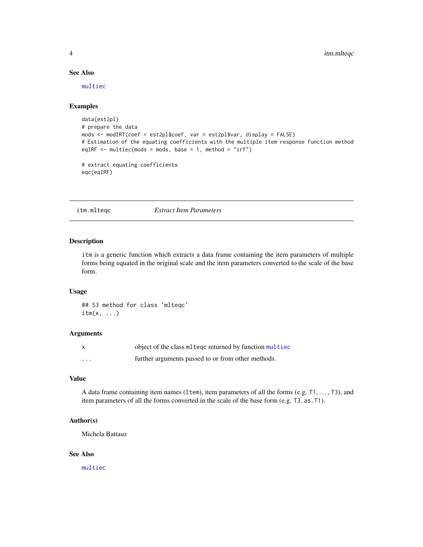## <span id="page-3-0"></span>See Also

[multiec](#page-4-1)

## Examples

```
data(est2pl)
# prepare the data
mods <- modIRT(coef = est2pl$coef, var = est2pl$var, display = FALSE)
# Estimation of the equating coefficients with the multiple item response function method
eqIRF \le multiec(mods = mods, base = 1, method = "irf")
# extract equating coefficients
```

```
eqc(eqIRF)
```
itm.mlteqc *Extract Item Parameters*

## Description

itm is a generic function which extracts a data frame containing the item parameters of multiple forms being equated in the original scale and the item parameters converted to the scale of the base form.

### Usage

## S3 method for class 'mlteqc'  $\text{itm}(x, \ldots)$ 

### Arguments

|         | object of the class ml teqc returned by function multiec |
|---------|----------------------------------------------------------|
| $\cdot$ | further arguments passed to or from other methods.       |

## Value

A data frame containing item names (Item), item parameters of all the forms (e.g. T1, . . . , T3), and item parameters of all the forms converted in the scale of the base form (e.g. T3.as.T1).

#### Author(s)

Michela Battauz

### See Also

[multiec](#page-4-1)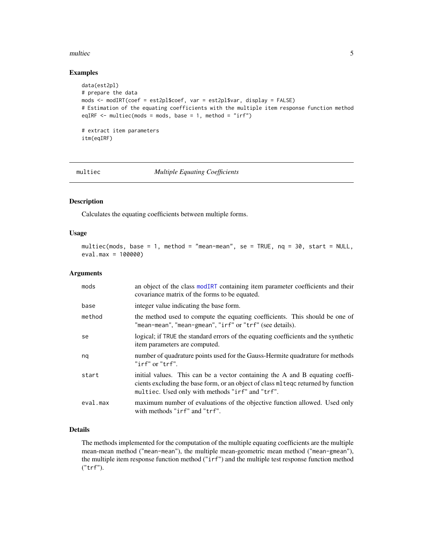#### <span id="page-4-0"></span>multiec 5

## Examples

```
data(est2pl)
# prepare the data
mods <- modIRT(coef = est2pl$coef, var = est2pl$var, display = FALSE)
# Estimation of the equating coefficients with the multiple item response function method
eqIRF \le multiec(mods = mods, base = 1, method = "irf")
# extract item parameters
itm(eqIRF)
```
<span id="page-4-1"></span>

## multiec *Multiple Equating Coefficients*

## Description

Calculates the equating coefficients between multiple forms.

### Usage

```
multiec(mods, base = 1, method = "mean-mean", se = TRUE, nq = 30, start = NULL,
eval.max = 100000)
```
#### Arguments

| mods     | an object of the class modIRT containing item parameter coefficients and their<br>covariance matrix of the forms to be equated.                                                                                       |
|----------|-----------------------------------------------------------------------------------------------------------------------------------------------------------------------------------------------------------------------|
| base     | integer value indicating the base form.                                                                                                                                                                               |
| method   | the method used to compute the equating coefficients. This should be one of<br>"mean-mean", "mean-gmean", "irf" or "trf" (see details).                                                                               |
| se       | logical; if TRUE the standard errors of the equating coefficients and the synthetic<br>item parameters are computed.                                                                                                  |
| nq       | number of quadrature points used for the Gauss-Hermite quadrature for methods<br>"irf" or "trf".                                                                                                                      |
| start    | initial values. This can be a vector containing the A and B equating coeffi-<br>cients excluding the base form, or an object of class method returned by function<br>multiec. Used only with methods "irf" and "trf". |
| eval.max | maximum number of evaluations of the objective function allowed. Used only<br>with methods "irf" and "trf".                                                                                                           |

## Details

The methods implemented for the computation of the multiple equating coefficients are the multiple mean-mean method ("mean-mean"), the multiple mean-geometric mean method ("mean-gmean"), the multiple item response function method ("irf") and the multiple test response function method ("trf").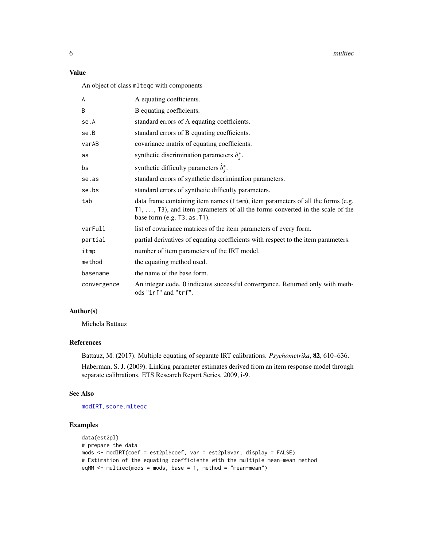<span id="page-5-0"></span>6 multiec

## Value

An object of class mlteqc with components

| A           | A equating coefficients.                                                                                                                                                                                    |
|-------------|-------------------------------------------------------------------------------------------------------------------------------------------------------------------------------------------------------------|
| B           | B equating coefficients.                                                                                                                                                                                    |
| se.A        | standard errors of A equating coefficients.                                                                                                                                                                 |
| se.B        | standard errors of B equating coefficients.                                                                                                                                                                 |
| varAB       | covariance matrix of equating coefficients.                                                                                                                                                                 |
| as          | synthetic discrimination parameters $\hat{a}_i^*$ .                                                                                                                                                         |
| bs          | synthetic difficulty parameters $\hat{b}_i^*$ .                                                                                                                                                             |
| se.as       | standard errors of synthetic discrimination parameters.                                                                                                                                                     |
| se.bs       | standard errors of synthetic difficulty parameters.                                                                                                                                                         |
| tab         | data frame containing item names (I tem), item parameters of all the forms (e.g.<br>$T1, \ldots, T3$ , and item parameters of all the forms converted in the scale of the<br>base form $(e.g. 73.as. 71)$ . |
| varFull     | list of covariance matrices of the item parameters of every form.                                                                                                                                           |
| partial     | partial derivatives of equating coefficients with respect to the item parameters.                                                                                                                           |
| itmp        | number of item parameters of the IRT model.                                                                                                                                                                 |
| method      | the equating method used.                                                                                                                                                                                   |
| basename    | the name of the base form.                                                                                                                                                                                  |
| convergence | An integer code. 0 indicates successful convergence. Returned only with meth-<br>ods "irf" and "trf".                                                                                                       |

## Author(s)

Michela Battauz

## References

Battauz, M. (2017). Multiple equating of separate IRT calibrations. *Psychometrika*, 82, 610–636. Haberman, S. J. (2009). Linking parameter estimates derived from an item response model through separate calibrations. ETS Research Report Series, 2009, i-9.

#### See Also

[modIRT](#page-0-0), [score.mlteqc](#page-6-1)

```
data(est2pl)
# prepare the data
mods <- modIRT(coef = est2pl$coef, var = est2pl$var, display = FALSE)
# Estimation of the equating coefficients with the multiple mean-mean method
eqMM <- multiec(mods = mods, base = 1, method = "mean-mean")
```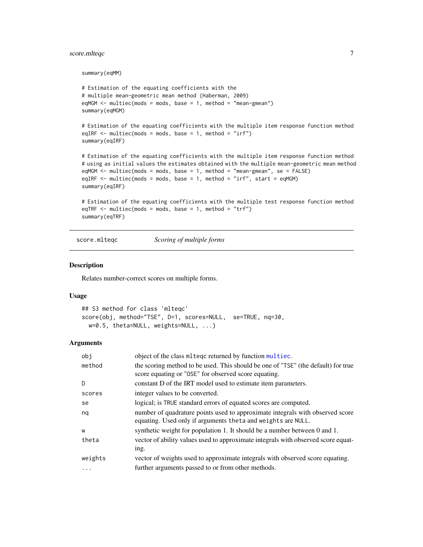## <span id="page-6-0"></span>score.mlteqc 7

summary(eqMM)

```
# Estimation of the equating coefficients with the
# multiple mean-geometric mean method (Haberman, 2009)
eqMGM <- multiec(mods = mods, base = 1, method = "mean-gmean")
summary(eqMGM)
# Estimation of the equating coefficients with the multiple item response function method
eqIRF \leq multiec(mods = mods, base = 1, method = "irf")
summary(eqIRF)
# Estimation of the equating coefficients with the multiple item response function method
# using as initial values the estimates obtained with the multiple mean-geometric mean method
eqMGM <- multiec(mods = mods, base = 1, method = "mean-gmean", se = FALSE)
eqIRF \leq multiec(mods = mods, base = 1, method = "irf", start = eqMGM)
summary(eqIRF)
# Estimation of the equating coefficients with the multiple test response function method
eqTRF \le multiec(mods = mods, base = 1, method = "trf")
```

```
summary(eqTRF)
```
<span id="page-6-1"></span>score.mlteqc *Scoring of multiple forms*

## Description

Relates number-correct scores on multiple forms.

## Usage

```
## S3 method for class 'mlteqc'
score(obj, method="TSE", D=1, scores=NULL, se=TRUE, nq=30,
 w=0.5, theta=NULL, weights=NULL, ...)
```
### Arguments

| obi       | object of the class ml teqc returned by function multiec.                                                                                      |
|-----------|------------------------------------------------------------------------------------------------------------------------------------------------|
| method    | the scoring method to be used. This should be one of "TSE" (the default) for true<br>score equating or "OSE" for observed score equating.      |
| D.        | constant D of the IRT model used to estimate item parameters.                                                                                  |
| scores    | integer values to be converted.                                                                                                                |
| se        | logical; is TRUE standard errors of equated scores are computed.                                                                               |
| nq        | number of quadrature points used to approximate integrals with observed score<br>equating. Used only if arguments the ta and weights are NULL. |
| W         | synthetic weight for population 1. It should be a number between 0 and 1.                                                                      |
| theta     | vector of ability values used to approximate integrals with observed score equat-<br>ing.                                                      |
| weights   | vector of weights used to approximate integrals with observed score equating.                                                                  |
| $\ddotsc$ | further arguments passed to or from other methods.                                                                                             |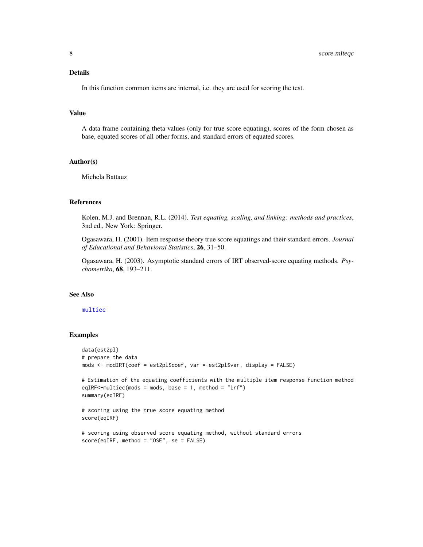## Details

In this function common items are internal, i.e. they are used for scoring the test.

### Value

A data frame containing theta values (only for true score equating), scores of the form chosen as base, equated scores of all other forms, and standard errors of equated scores.

#### Author(s)

Michela Battauz

#### References

Kolen, M.J. and Brennan, R.L. (2014). *Test equating, scaling, and linking: methods and practices*, 3nd ed., New York: Springer.

Ogasawara, H. (2001). Item response theory true score equatings and their standard errors. *Journal of Educational and Behavioral Statistics*, 26, 31–50.

Ogasawara, H. (2003). Asymptotic standard errors of IRT observed-score equating methods. *Psychometrika*, 68, 193–211.

## See Also

#### [multiec](#page-4-1)

```
data(est2pl)
# prepare the data
mods <- modIRT(coef = est2pl$coef, var = est2pl$var, display = FALSE)
# Estimation of the equating coefficients with the multiple item response function method
eqIRF<-multiec(mods = mods, base = 1, method = "irf")
summary(eqIRF)
# scoring using the true score equating method
score(eqIRF)
# scoring using observed score equating method, without standard errors
score(eqIRF, method = "OSE", se = FALSE)
```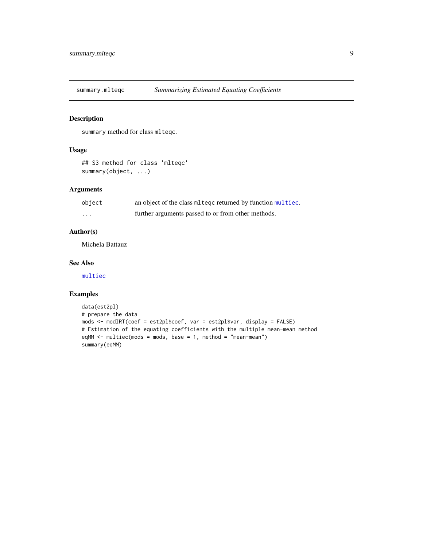<span id="page-8-0"></span>

## Description

summary method for class mlteqc.

## Usage

```
## S3 method for class 'mlteqc'
summary(object, ...)
```
## Arguments

| object   | an object of the class mlteqc returned by function multiec. |
|----------|-------------------------------------------------------------|
| $\cdots$ | further arguments passed to or from other methods.          |

## Author(s)

Michela Battauz

#### See Also

[multiec](#page-4-1)

```
data(est2pl)
# prepare the data
mods <- modIRT(coef = est2pl$coef, var = est2pl$var, display = FALSE)
# Estimation of the equating coefficients with the multiple mean-mean method
eqMM <- multiec(mods = mods, base = 1, method = "mean-mean")
summary(eqMM)
```